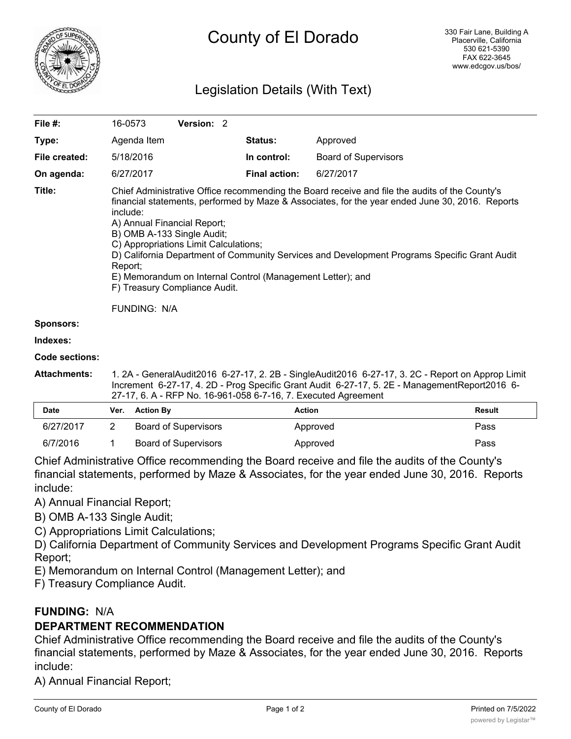

# County of El Dorado

# Legislation Details (With Text)

| File #:               | 16-0573                                                                                                                                                                                                                                                                                                                                                                                                                                                                                                                                              | <b>Version: 2</b> |  |                      |                             |  |  |
|-----------------------|------------------------------------------------------------------------------------------------------------------------------------------------------------------------------------------------------------------------------------------------------------------------------------------------------------------------------------------------------------------------------------------------------------------------------------------------------------------------------------------------------------------------------------------------------|-------------------|--|----------------------|-----------------------------|--|--|
| Type:                 | Agenda Item                                                                                                                                                                                                                                                                                                                                                                                                                                                                                                                                          |                   |  | <b>Status:</b>       | Approved                    |  |  |
| File created:         | 5/18/2016                                                                                                                                                                                                                                                                                                                                                                                                                                                                                                                                            |                   |  | In control:          | <b>Board of Supervisors</b> |  |  |
| On agenda:            | 6/27/2017                                                                                                                                                                                                                                                                                                                                                                                                                                                                                                                                            |                   |  | <b>Final action:</b> | 6/27/2017                   |  |  |
| Title:                | Chief Administrative Office recommending the Board receive and file the audits of the County's<br>financial statements, performed by Maze & Associates, for the year ended June 30, 2016. Reports<br>include:<br>A) Annual Financial Report;<br>B) OMB A-133 Single Audit;<br>C) Appropriations Limit Calculations;<br>D) California Department of Community Services and Development Programs Specific Grant Audit<br>Report;<br>E) Memorandum on Internal Control (Management Letter); and<br>F) Treasury Compliance Audit.<br><b>FUNDING: N/A</b> |                   |  |                      |                             |  |  |
| <b>Sponsors:</b>      |                                                                                                                                                                                                                                                                                                                                                                                                                                                                                                                                                      |                   |  |                      |                             |  |  |
| Indexes:              |                                                                                                                                                                                                                                                                                                                                                                                                                                                                                                                                                      |                   |  |                      |                             |  |  |
| <b>Code sections:</b> |                                                                                                                                                                                                                                                                                                                                                                                                                                                                                                                                                      |                   |  |                      |                             |  |  |
| <b>Attachments:</b>   | 1. 2A - GeneralAudit2016 6-27-17, 2. 2B - SingleAudit2016 6-27-17, 3. 2C - Report on Approp Limit<br>Increment 6-27-17, 4. 2D - Prog Specific Grant Audit 6-27-17, 5. 2E - Management Report 2016 6-                                                                                                                                                                                                                                                                                                                                                 |                   |  |                      |                             |  |  |

| 27-17, 6. A - RFP No. 16-961-058 6-7-16, 7. Executed Agreement |  |                      |          |        |  |  |  |  |
|----------------------------------------------------------------|--|----------------------|----------|--------|--|--|--|--|
| <b>Date</b>                                                    |  | Ver. Action By       | Action   | Result |  |  |  |  |
| 6/27/2017                                                      |  | Board of Supervisors | Approved | Pass   |  |  |  |  |
| 6/7/2016                                                       |  | Board of Supervisors | Approved | Pass   |  |  |  |  |

Chief Administrative Office recommending the Board receive and file the audits of the County's financial statements, performed by Maze & Associates, for the year ended June 30, 2016. Reports include:

A) Annual Financial Report;

- B) OMB A-133 Single Audit;
- C) Appropriations Limit Calculations;

D) California Department of Community Services and Development Programs Specific Grant Audit Report;

E) Memorandum on Internal Control (Management Letter); and

F) Treasury Compliance Audit.

# **FUNDING:** N/A

# **DEPARTMENT RECOMMENDATION**

Chief Administrative Office recommending the Board receive and file the audits of the County's financial statements, performed by Maze & Associates, for the year ended June 30, 2016. Reports include:

A) Annual Financial Report;